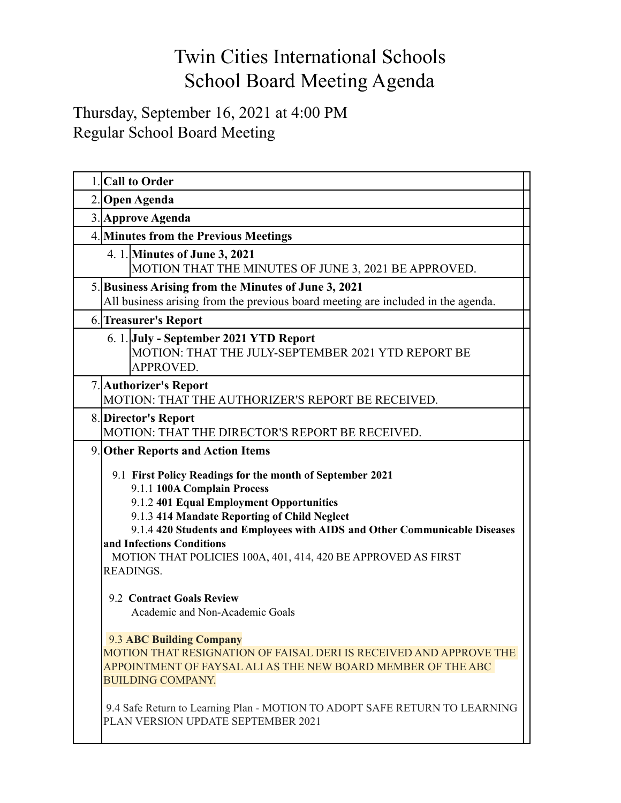## Twin Cities International Schools School Board Meeting Agenda

## Thursday, September 16, 2021 at 4:00 PM Regular School Board Meeting

| 1. Call to Order                                                                                                                                                                                                                                                                                                                                                                                                                                                                                                                                                                                                                                                                                                                                                                                                   |
|--------------------------------------------------------------------------------------------------------------------------------------------------------------------------------------------------------------------------------------------------------------------------------------------------------------------------------------------------------------------------------------------------------------------------------------------------------------------------------------------------------------------------------------------------------------------------------------------------------------------------------------------------------------------------------------------------------------------------------------------------------------------------------------------------------------------|
| 2. Open Agenda                                                                                                                                                                                                                                                                                                                                                                                                                                                                                                                                                                                                                                                                                                                                                                                                     |
| 3. Approve Agenda                                                                                                                                                                                                                                                                                                                                                                                                                                                                                                                                                                                                                                                                                                                                                                                                  |
| 4. Minutes from the Previous Meetings                                                                                                                                                                                                                                                                                                                                                                                                                                                                                                                                                                                                                                                                                                                                                                              |
| 4. 1. Minutes of June 3, 2021<br>MOTION THAT THE MINUTES OF JUNE 3, 2021 BE APPROVED.                                                                                                                                                                                                                                                                                                                                                                                                                                                                                                                                                                                                                                                                                                                              |
| 5. Business Arising from the Minutes of June 3, 2021<br>All business arising from the previous board meeting are included in the agenda.                                                                                                                                                                                                                                                                                                                                                                                                                                                                                                                                                                                                                                                                           |
| 6. Treasurer's Report                                                                                                                                                                                                                                                                                                                                                                                                                                                                                                                                                                                                                                                                                                                                                                                              |
| 6. 1. July - September 2021 YTD Report<br>MOTION: THAT THE JULY-SEPTEMBER 2021 YTD REPORT BE<br>APPROVED.                                                                                                                                                                                                                                                                                                                                                                                                                                                                                                                                                                                                                                                                                                          |
| 7. Authorizer's Report<br>MOTION: THAT THE AUTHORIZER'S REPORT BE RECEIVED.                                                                                                                                                                                                                                                                                                                                                                                                                                                                                                                                                                                                                                                                                                                                        |
| 8. Director's Report<br>MOTION: THAT THE DIRECTOR'S REPORT BE RECEIVED.                                                                                                                                                                                                                                                                                                                                                                                                                                                                                                                                                                                                                                                                                                                                            |
| 9. Other Reports and Action Items<br>9.1 First Policy Readings for the month of September 2021<br>9.1.1 100A Complain Process<br>9.1.2 401 Equal Employment Opportunities<br>9.1.3 414 Mandate Reporting of Child Neglect<br>9.1.4 420 Students and Employees with AIDS and Other Communicable Diseases<br>and Infections Conditions<br>MOTION THAT POLICIES 100A, 401, 414, 420 BE APPROVED AS FIRST<br><b>READINGS.</b><br>9.2 Contract Goals Review<br>Academic and Non-Academic Goals<br><b>9.3 ABC Building Company</b><br>MOTION THAT RESIGNATION OF FAISAL DERI IS RECEIVED AND APPROVE THE<br>APPOINTMENT OF FAYSAL ALI AS THE NEW BOARD MEMBER OF THE ABC<br><b>BUILDING COMPANY.</b><br>9.4 Safe Return to Learning Plan - MOTION TO ADOPT SAFE RETURN TO LEARNING<br>PLAN VERSION UPDATE SEPTEMBER 2021 |